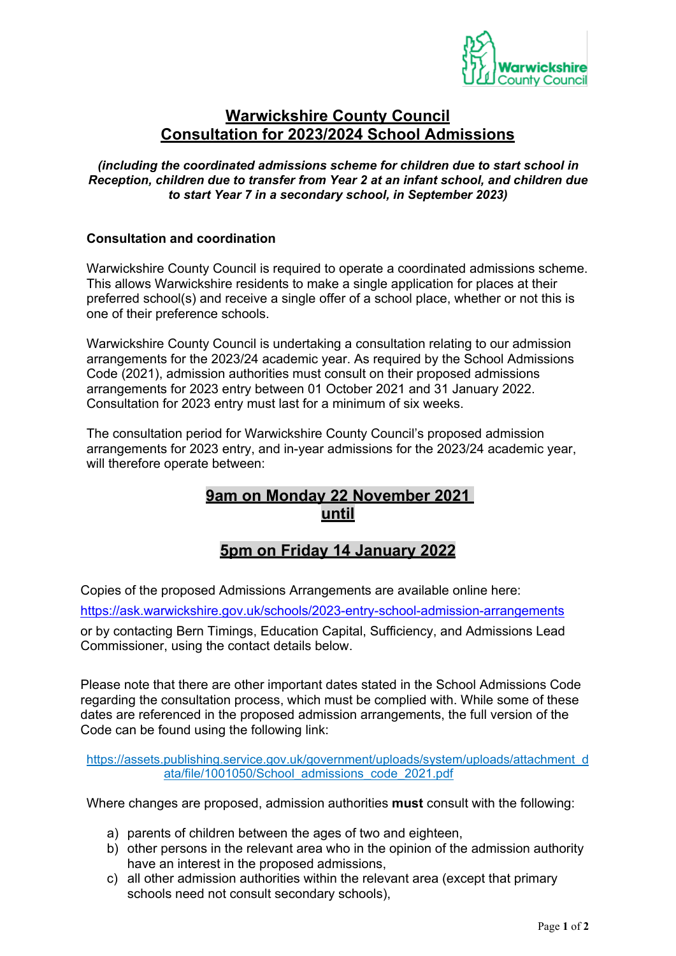

## **Warwickshire County Council Consultation for 2023/2024 School Admissions**

*(including the coordinated admissions scheme for children due to start school in Reception, children due to transfer from Year 2 at an infant school, and children due to start Year 7 in a secondary school, in September 2023)*

### **Consultation and coordination**

Warwickshire County Council is required to operate a coordinated admissions scheme. This allows Warwickshire residents to make a single application for places at their preferred school(s) and receive a single offer of a school place, whether or not this is one of their preference schools.

Warwickshire County Council is undertaking a consultation relating to our admission arrangements for the 2023/24 academic year. As required by the School Admissions Code (2021), admission authorities must consult on their proposed admissions arrangements for 2023 entry between 01 October 2021 and 31 January 2022. Consultation for 2023 entry must last for a minimum of six weeks.

The consultation period for Warwickshire County Council's proposed admission arrangements for 2023 entry, and in-year admissions for the 2023/24 academic year, will therefore operate between:

# **9am on Monday 22 November 2021 until**

# **5pm on Friday 14 January 2022**

Copies of the proposed Admissions Arrangements are available online here:

<https://ask.warwickshire.gov.uk/schools/2023-entry-school-admission-arrangements>

or by contacting Bern Timings, Education Capital, Sufficiency, and Admissions Lead Commissioner, using the contact details below.

Please note that there are other important dates stated in the School Admissions Code regarding the consultation process, which must be complied with. While some of these dates are referenced in the proposed admission arrangements, the full version of the Code can be found using the following link:

[https://assets.publishing.service.gov.uk/government/uploads/system/uploads/attachment\\_d](https://assets.publishing.service.gov.uk/government/uploads/system/uploads/attachment_data/file/1001050/School_admissions_code_2021.pdf) [ata/file/1001050/School\\_admissions\\_code\\_2021.pdf](https://assets.publishing.service.gov.uk/government/uploads/system/uploads/attachment_data/file/1001050/School_admissions_code_2021.pdf)

Where changes are proposed, admission authorities **must** consult with the following:

- a) parents of children between the ages of two and eighteen,
- b) other persons in the relevant area who in the opinion of the admission authority have an interest in the proposed admissions,
- c) all other admission authorities within the relevant area (except that primary schools need not consult secondary schools),